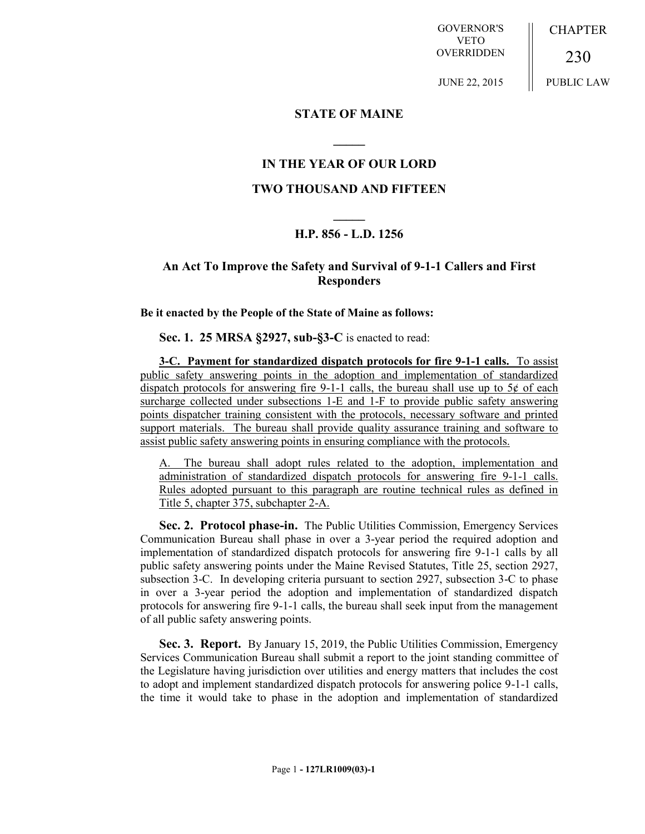GOVERNOR'S VETO **OVERRIDDEN** CHAPTER

JUNE 22, 2015

230 PUBLIC LAW

# **STATE OF MAINE**

# **IN THE YEAR OF OUR LORD**

**\_\_\_\_\_**

### **TWO THOUSAND AND FIFTEEN**

# **\_\_\_\_\_ H.P. 856 - L.D. 1256**

## **An Act To Improve the Safety and Survival of 9-1-1 Callers and First Responders**

**Be it enacted by the People of the State of Maine as follows:**

**Sec. 1. 25 MRSA §2927, sub-§3-C** is enacted to read:

**3-C. Payment for standardized dispatch protocols for fire 9-1-1 calls.** To assist public safety answering points in the adoption and implementation of standardized dispatch protocols for answering fire 9-1-1 calls, the bureau shall use up to  $5¢$  of each surcharge collected under subsections 1-E and 1-F to provide public safety answering points dispatcher training consistent with the protocols, necessary software and printed support materials. The bureau shall provide quality assurance training and software to assist public safety answering points in ensuring compliance with the protocols.

A. The bureau shall adopt rules related to the adoption, implementation and administration of standardized dispatch protocols for answering fire 9-1-1 calls. Rules adopted pursuant to this paragraph are routine technical rules as defined in Title 5, chapter 375, subchapter 2-A.

**Sec. 2. Protocol phase-in.** The Public Utilities Commission, Emergency Services Communication Bureau shall phase in over a 3-year period the required adoption and implementation of standardized dispatch protocols for answering fire 9-1-1 calls by all public safety answering points under the Maine Revised Statutes, Title 25, section 2927, subsection 3-C. In developing criteria pursuant to section 2927, subsection 3-C to phase in over a 3-year period the adoption and implementation of standardized dispatch protocols for answering fire 9-1-1 calls, the bureau shall seek input from the management of all public safety answering points.

**Sec. 3. Report.** By January 15, 2019, the Public Utilities Commission, Emergency Services Communication Bureau shall submit a report to the joint standing committee of the Legislature having jurisdiction over utilities and energy matters that includes the cost to adopt and implement standardized dispatch protocols for answering police 9-1-1 calls, the time it would take to phase in the adoption and implementation of standardized